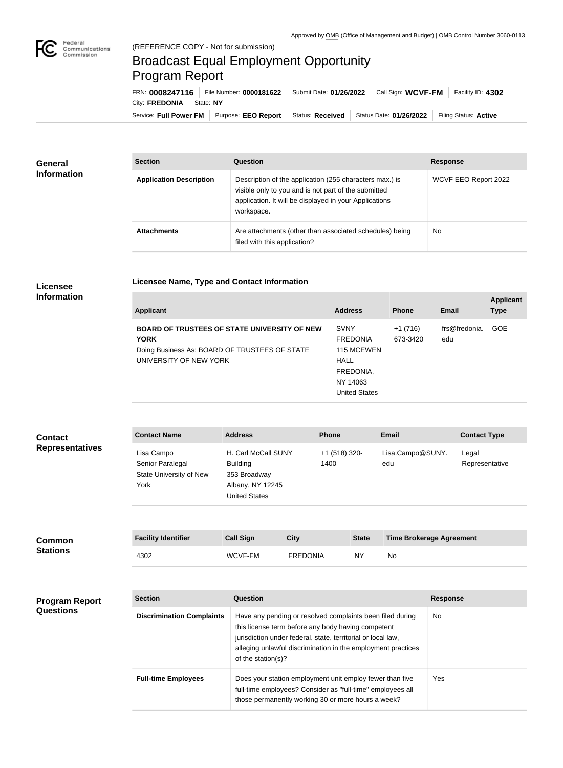

×

## Broadcast Equal Employment Opportunity Program Report

**Licensee Name, Type and Contact Information**

Service: Full Power FM | Purpose: EEO Report | Status: Received | Status Date: 01/26/2022 | Filing Status: Active City: **FREDONIA** | State: NY FRN: **0008247116** File Number: **0000181622** Submit Date: **01/26/2022** Call Sign: **WCVF-FM** Facility ID: **4302**

| General<br><b>Information</b> | <b>Section</b>                 | <b>Question</b>                                                                                                                                                                         | <b>Response</b>      |
|-------------------------------|--------------------------------|-----------------------------------------------------------------------------------------------------------------------------------------------------------------------------------------|----------------------|
|                               | <b>Application Description</b> | Description of the application (255 characters max.) is<br>visible only to you and is not part of the submitted<br>application. It will be displayed in your Applications<br>workspace. | WCVF EEO Report 2022 |
|                               | <b>Attachments</b>             | Are attachments (other than associated schedules) being<br>filed with this application?                                                                                                 | <b>No</b>            |

## **Licensee Information**

| <b>Applicant</b>                                                                                                                              | <b>Address</b>                                                                                               | <b>Phone</b>          | Email                | <b>Applicant</b><br><b>Type</b> |
|-----------------------------------------------------------------------------------------------------------------------------------------------|--------------------------------------------------------------------------------------------------------------|-----------------------|----------------------|---------------------------------|
| <b>BOARD OF TRUSTEES OF STATE UNIVERSITY OF NEW</b><br><b>YORK</b><br>Doing Business As: BOARD OF TRUSTEES OF STATE<br>UNIVERSITY OF NEW YORK | <b>SVNY</b><br><b>FREDONIA</b><br>115 MCEWEN<br><b>HALL</b><br>FREDONIA,<br>NY 14063<br><b>United States</b> | $+1(716)$<br>673-3420 | frs@fredonia.<br>edu | <b>GOE</b>                      |

| <b>Contact</b>         | <b>Contact Name</b>                                               | <b>Address</b>                                                                                     | <b>Phone</b>            | Email                   | <b>Contact Type</b>     |
|------------------------|-------------------------------------------------------------------|----------------------------------------------------------------------------------------------------|-------------------------|-------------------------|-------------------------|
| <b>Representatives</b> | Lisa Campo<br>Senior Paralegal<br>State University of New<br>York | H. Carl McCall SUNY<br><b>Building</b><br>353 Broadway<br>Albany, NY 12245<br><b>United States</b> | $+1$ (518) 320-<br>1400 | Lisa.Campo@SUNY.<br>edu | Legal<br>Representative |

| <b>Common</b><br><b>Stations</b> | <b>Facility Identifier</b> | <b>Call Sign</b> | City            | <b>State</b> | <b>Time Brokerage Agreement</b> |
|----------------------------------|----------------------------|------------------|-----------------|--------------|---------------------------------|
|                                  | 4302                       | WCVF-FM          | <b>FREDONIA</b> | NY           | No                              |

| <b>Program Report</b><br><b>Questions</b> | <b>Section</b>                   | Question                                                                                                                                                                                                                                                              | <b>Response</b> |
|-------------------------------------------|----------------------------------|-----------------------------------------------------------------------------------------------------------------------------------------------------------------------------------------------------------------------------------------------------------------------|-----------------|
|                                           | <b>Discrimination Complaints</b> | Have any pending or resolved complaints been filed during<br>this license term before any body having competent<br>jurisdiction under federal, state, territorial or local law,<br>alleging unlawful discrimination in the employment practices<br>of the station(s)? | No.             |
|                                           | <b>Full-time Employees</b>       | Does your station employment unit employ fewer than five<br>full-time employees? Consider as "full-time" employees all<br>those permanently working 30 or more hours a week?                                                                                          | <b>Yes</b>      |